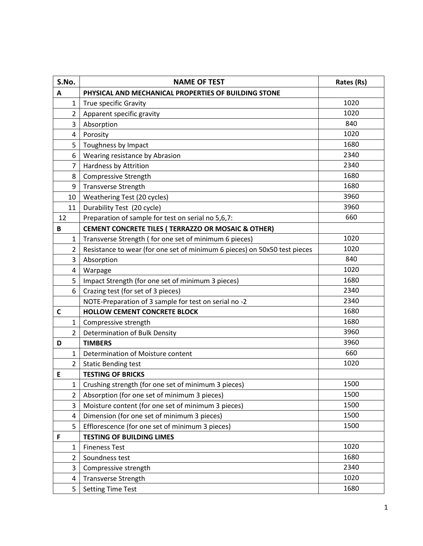| S.No.          | <b>NAME OF TEST</b>                                                       | Rates (Rs) |
|----------------|---------------------------------------------------------------------------|------------|
| A              | PHYSICAL AND MECHANICAL PROPERTIES OF BUILDING STONE                      |            |
| $\mathbf{1}$   | True specific Gravity                                                     | 1020       |
| $\overline{2}$ | Apparent specific gravity                                                 | 1020       |
| 3              | Absorption                                                                | 840        |
| 4              | Porosity                                                                  | 1020       |
| 5              | Toughness by Impact                                                       | 1680       |
| 6              | Wearing resistance by Abrasion                                            | 2340       |
| 7              | Hardness by Attrition                                                     | 2340       |
| 8              | <b>Compressive Strength</b>                                               | 1680       |
| 9              | <b>Transverse Strength</b>                                                | 1680       |
| 10             | Weathering Test (20 cycles)                                               | 3960       |
| 11             | Durability Test (20 cycle)                                                | 3960       |
| 12             | Preparation of sample for test on serial no 5,6,7:                        | 660        |
| В              | CEMENT CONCRETE TILES ( TERRAZZO OR MOSAIC & OTHER)                       |            |
| 1              | Transverse Strength (for one set of minimum 6 pieces)                     | 1020       |
| $\overline{2}$ | Resistance to wear (for one set of minimum 6 pieces) on 50x50 test pieces | 1020       |
| 3              | Absorption                                                                | 840        |
| 4              | Warpage                                                                   | 1020       |
| 5              | Impact Strength (for one set of minimum 3 pieces)                         | 1680       |
| 6              | Crazing test (for set of 3 pieces)                                        | 2340       |
|                | NOTE-Preparation of 3 sample for test on serial no -2                     | 2340       |
| C              | <b>HOLLOW CEMENT CONCRETE BLOCK</b>                                       | 1680       |
| $\mathbf{1}$   | Compressive strength                                                      | 1680       |
| $\overline{2}$ | Determination of Bulk Density                                             | 3960       |
| D              | <b>TIMBERS</b>                                                            | 3960       |
| 1              | Determination of Moisture content                                         | 660        |
| $\overline{2}$ | <b>Static Bending test</b>                                                | 1020       |
| Ε              | <b>TESTING OF BRICKS</b>                                                  |            |
| $\mathbf 1$    | Crushing strength (for one set of minimum 3 pieces)                       | 1500       |
| 2              | Absorption (for one set of minimum 3 pieces)                              | 1500       |
| 3              | Moisture content (for one set of minimum 3 pieces)                        | 1500       |
| 4              | Dimension (for one set of minimum 3 pieces)                               | 1500       |
| 5              | Efflorescence (for one set of minimum 3 pieces)                           | 1500       |
| F              | <b>TESTING OF BUILDING LIMES</b>                                          |            |
| 1              | <b>Fineness Test</b>                                                      | 1020       |
| $\overline{2}$ | Soundness test                                                            | 1680       |
| 3              | Compressive strength                                                      | 2340       |
| 4              | <b>Transverse Strength</b>                                                | 1020       |
| 5              | <b>Setting Time Test</b>                                                  | 1680       |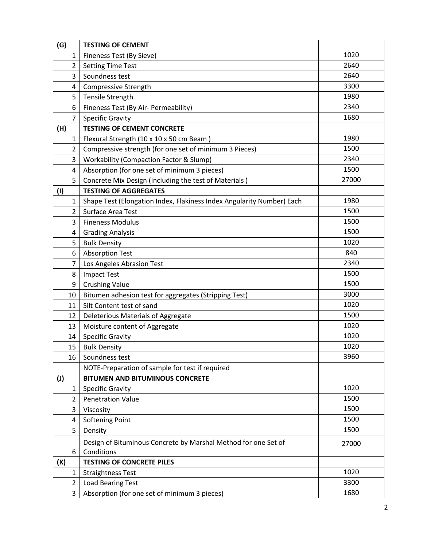| (G)          | <b>TESTING OF CEMENT</b>                                                     |       |
|--------------|------------------------------------------------------------------------------|-------|
| 1            | Fineness Test (By Sieve)                                                     | 1020  |
| 2            | <b>Setting Time Test</b>                                                     | 2640  |
| 3            | Soundness test                                                               | 2640  |
| 4            | <b>Compressive Strength</b>                                                  | 3300  |
| 5            | Tensile Strength                                                             | 1980  |
| 6            | Fineness Test (By Air- Permeability)                                         | 2340  |
| 7            | <b>Specific Gravity</b>                                                      | 1680  |
| (H)          | <b>TESTING OF CEMENT CONCRETE</b>                                            |       |
| 1            | Flexural Strength (10 x 10 x 50 cm Beam)                                     | 1980  |
| 2            | Compressive strength (for one set of minimum 3 Pieces)                       | 1500  |
| 3            | <b>Workability (Compaction Factor &amp; Slump)</b>                           | 2340  |
| 4            | Absorption (for one set of minimum 3 pieces)                                 | 1500  |
| 5            | Concrete Mix Design (Including the test of Materials)                        | 27000 |
| (1)          | <b>TESTING OF AGGREGATES</b>                                                 |       |
| 1            | Shape Test (Elongation Index, Flakiness Index Angularity Number) Each        | 1980  |
| 2            | Surface Area Test                                                            | 1500  |
| 3            | <b>Fineness Modulus</b>                                                      | 1500  |
| 4            | <b>Grading Analysis</b>                                                      | 1500  |
| 5            | <b>Bulk Density</b>                                                          | 1020  |
| 6            | <b>Absorption Test</b>                                                       | 840   |
| 7            | Los Angeles Abrasion Test                                                    | 2340  |
| 8            | <b>Impact Test</b>                                                           | 1500  |
| 9            | <b>Crushing Value</b>                                                        | 1500  |
| 10           | Bitumen adhesion test for aggregates (Stripping Test)                        | 3000  |
| 11           | Silt Content test of sand                                                    | 1020  |
| 12           | Deleterious Materials of Aggregate                                           | 1500  |
| 13           | Moisture content of Aggregate                                                | 1020  |
| 14           | <b>Specific Gravity</b>                                                      | 1020  |
| 15           | <b>Bulk Density</b>                                                          | 1020  |
| 16           | Soundness test                                                               | 3960  |
|              | NOTE-Preparation of sample for test if required                              |       |
| $\mathbf{U}$ | <b>BITUMEN AND BITUMINOUS CONCRETE</b>                                       |       |
| 1            | <b>Specific Gravity</b>                                                      | 1020  |
| 2            | <b>Penetration Value</b>                                                     | 1500  |
| 3            | Viscosity                                                                    | 1500  |
| 4            | <b>Softening Point</b>                                                       | 1500  |
| 5            | Density                                                                      | 1500  |
| 6            | Design of Bituminous Concrete by Marshal Method for one Set of<br>Conditions | 27000 |
| (K)          | <b>TESTING OF CONCRETE PILES</b>                                             |       |
| 1            | <b>Straightness Test</b>                                                     | 1020  |
| 2            | Load Bearing Test                                                            | 3300  |
| 3            | Absorption (for one set of minimum 3 pieces)                                 | 1680  |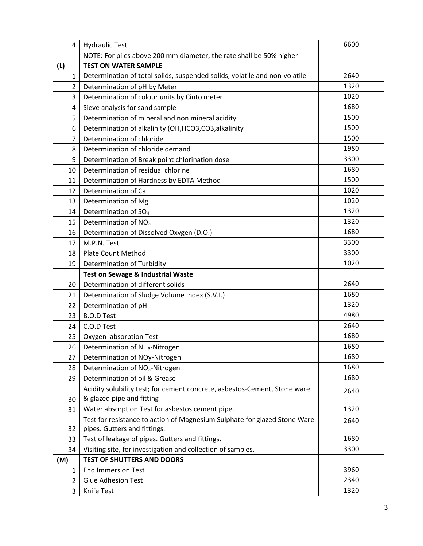| 4              | <b>Hydraulic Test</b>                                                      | 6600         |
|----------------|----------------------------------------------------------------------------|--------------|
|                | NOTE: For piles above 200 mm diameter, the rate shall be 50% higher        |              |
| (L)            | <b>TEST ON WATER SAMPLE</b>                                                |              |
| $\mathbf{1}$   | Determination of total solids, suspended solids, volatile and non-volatile | 2640         |
| $\overline{2}$ | Determination of pH by Meter                                               | 1320         |
| 3              | Determination of colour units by Cinto meter                               | 1020         |
| 4              | Sieve analysis for sand sample                                             | 1680         |
| 5              | Determination of mineral and non mineral acidity                           | 1500         |
| 6              | Determination of alkalinity (OH, HCO3, CO3, alkalinity                     | 1500         |
| 7              | Determination of chloride                                                  | 1500         |
| 8              | Determination of chloride demand                                           | 1980         |
| 9              | Determination of Break point chlorination dose                             | 3300         |
| 10             | Determination of residual chlorine                                         | 1680         |
| 11             | Determination of Hardness by EDTA Method                                   | 1500         |
| 12             | Determination of Ca                                                        | 1020         |
| 13             | Determination of Mg                                                        | 1020         |
| 14             | Determination of SO <sub>4</sub>                                           | 1320         |
| 15             | Determination of NO <sub>3</sub>                                           | 1320         |
| 16             | Determination of Dissolved Oxygen (D.O.)                                   | 1680         |
| 17             | M.P.N. Test                                                                | 3300         |
| 18             | <b>Plate Count Method</b>                                                  | 3300         |
| 19             | Determination of Turbidity                                                 | 1020         |
|                |                                                                            |              |
|                | <b>Test on Sewage &amp; Industrial Waste</b>                               |              |
| 20             | Determination of different solids                                          | 2640         |
| 21             | Determination of Sludge Volume Index (S.V.I.)                              | 1680         |
| 22             | Determination of pH                                                        | 1320         |
| 23             | <b>B.O.D Test</b>                                                          | 4980         |
| 24             | C.O.D Test                                                                 | 2640         |
| 25             | Oxygen absorption Test                                                     | 1680         |
| 26             | Determination of NH <sub>3</sub> -Nitrogen                                 | 1680         |
| 27             | Determination of NOy-Nitrogen                                              | 1680         |
| 28             | Determination of NO <sub>3</sub> -Nitrogen                                 | 1680         |
| 29             | Determination of oil & Grease                                              | 1680         |
|                | Acidity solubility test; for cement concrete, asbestos-Cement, Stone ware  |              |
| 30             | & glazed pipe and fitting                                                  | 2640         |
| 31             | Water absorption Test for asbestos cement pipe.                            | 1320         |
|                | Test for resistance to action of Magnesium Sulphate for glazed Stone Ware  | 2640         |
| 32             | pipes. Gutters and fittings.                                               |              |
| 33             | Test of leakage of pipes. Gutters and fittings.                            | 1680         |
| 34             | Visiting site, for investigation and collection of samples.                | 3300         |
| (M)            | <b>TEST OF SHUTTERS AND DOORS</b>                                          |              |
| 1              | <b>End Immersion Test</b>                                                  | 3960         |
| 2              | <b>Glue Adhesion Test</b><br>Knife Test                                    | 2340<br>1320 |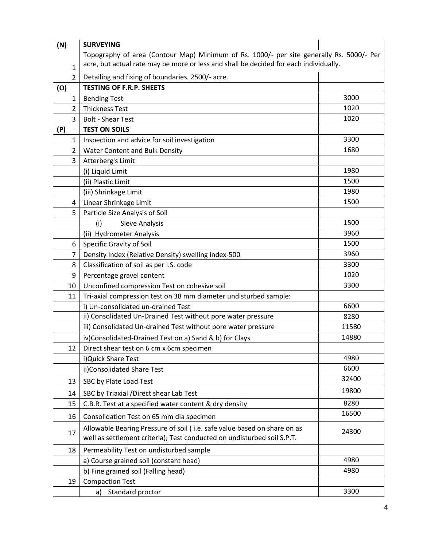| (N)            | <b>SURVEYING</b>                                                                                                                                                                  |       |
|----------------|-----------------------------------------------------------------------------------------------------------------------------------------------------------------------------------|-------|
| 1              | Topography of area (Contour Map) Minimum of Rs. 1000/- per site generally Rs. 5000/- Per<br>acre, but actual rate may be more or less and shall be decided for each individually. |       |
| $\overline{2}$ | Detailing and fixing of boundaries. 2500/- acre.                                                                                                                                  |       |
| (O)            | <b>TESTING OF F.R.P. SHEETS</b>                                                                                                                                                   |       |
| 1              | <b>Bending Test</b>                                                                                                                                                               | 3000  |
| 2              | <b>Thickness Test</b>                                                                                                                                                             | 1020  |
| 3              | <b>Bolt - Shear Test</b>                                                                                                                                                          | 1020  |
| (P)            | <b>TEST ON SOILS</b>                                                                                                                                                              |       |
| 1              | Inspection and advice for soil investigation                                                                                                                                      | 3300  |
| $\overline{2}$ | Water Content and Bulk Density                                                                                                                                                    | 1680  |
| 3              | Atterberg's Limit                                                                                                                                                                 |       |
|                | (i) Liquid Limit                                                                                                                                                                  | 1980  |
|                | (ii) Plastic Limit                                                                                                                                                                | 1500  |
|                | (iii) Shrinkage Limit                                                                                                                                                             | 1980  |
| 4              | Linear Shrinkage Limit                                                                                                                                                            | 1500  |
| 5              | Particle Size Analysis of Soil                                                                                                                                                    |       |
|                | (i)<br>Sieve Analysis                                                                                                                                                             | 1500  |
|                | (ii) Hydrometer Analysis                                                                                                                                                          | 3960  |
| 6              | Specific Gravity of Soil                                                                                                                                                          | 1500  |
| 7              | Density Index (Relative Density) swelling index-500                                                                                                                               | 3960  |
| 8              | Classification of soil as per I.S. code                                                                                                                                           | 3300  |
| 9              | Percentage gravel content                                                                                                                                                         | 1020  |
| 10             | Unconfined compression Test on cohesive soil                                                                                                                                      | 3300  |
| 11             | Tri-axial compression test on 38 mm diameter undisturbed sample:                                                                                                                  |       |
|                | i) Un-consolidated un-drained Test                                                                                                                                                | 6600  |
|                | ii) Consolidated Un-Drained Test without pore water pressure                                                                                                                      | 8280  |
|                | iii) Consolidated Un-drained Test without pore water pressure                                                                                                                     | 11580 |
|                | iv)Consolidated-Drained Test on a) Sand & b) for Clays                                                                                                                            | 14880 |
| 12             | Direct shear test on 6 cm x 6cm specimen                                                                                                                                          |       |
|                | i) Quick Share Test                                                                                                                                                               | 4980  |
|                | ii)Consolidated Share Test                                                                                                                                                        | 6600  |
| 13             | SBC by Plate Load Test                                                                                                                                                            | 32400 |
| 14             | SBC by Triaxial / Direct shear Lab Test                                                                                                                                           | 19800 |
| 15             | C.B.R. Test at a specified water content & dry density                                                                                                                            | 8280  |
|                |                                                                                                                                                                                   | 16500 |
| 16             | Consolidation Test on 65 mm dia specimen                                                                                                                                          |       |
| 17             | Allowable Bearing Pressure of soil (i.e. safe value based on share on as<br>well as settlement criteria); Test conducted on undisturbed soil S.P.T.                               | 24300 |
| 18             | Permeability Test on undisturbed sample                                                                                                                                           |       |
|                | a) Course grained soil (constant head)                                                                                                                                            | 4980  |
|                | b) Fine grained soil (Falling head)                                                                                                                                               | 4980  |
| 19             | <b>Compaction Test</b>                                                                                                                                                            |       |
|                | Standard proctor<br>a)                                                                                                                                                            | 3300  |